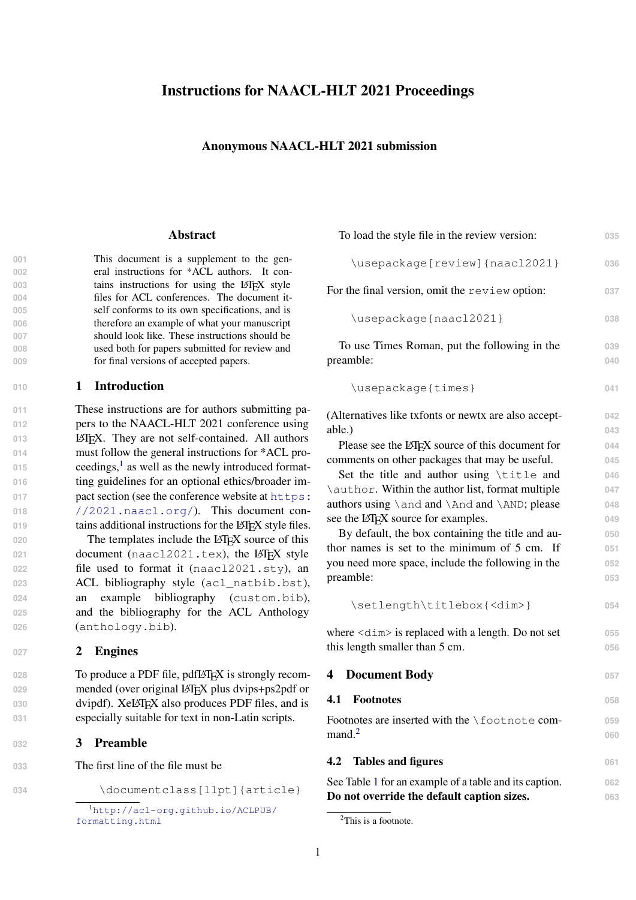# Instructions for NAACL-HLT 2021 Proceedings

## Anonymous NAACL-HLT 2021 submission

#### Abstract

 This document is a supplement to the gen- eral instructions for \*ACL authors. It con-**tains instructions for using the LATEX style**<br> **1004 tiles for ACL conferences** The document itfiles for ACL conferences. The document it- self conforms to its own specifications, and is therefore an example of what your manuscript should look like. These instructions should be used both for papers submitted for review and for final versions of accepted papers.

### **<sup>010</sup>** 1 Introduction

011 These instructions are for authors submitting pa-**012** pers to the NAACL-HLT 2021 conference using 013 **LATEX.** They are not self-contained. All authors **014** must follow the general instructions for \*ACL pro-0[1](#page-0-0)5 ceedings,<sup>1</sup> as well as the newly introduced format-016 ting guidelines for an optional ethics/broader im-017 **[p](https://2021.naacl.org/)act section (see the conference website at [https:](https://2021.naacl.org/) <sup>018</sup>** [//2021.naacl.org/](https://2021.naacl.org/)). This document con-019 tains additional instructions for the LAT<sub>EX</sub> style files.

020 The templates include the LAT<sub>EX</sub> source of this **document** (naacl2021.tex), the LAT<sub>E</sub>X style file used to format it (naacl2021.sty), an ACL bibliography style (acl\_natbib.bst), an example bibliography (custom.bib), and the bibliography for the ACL Anthology (anthology.bib).

## **<sup>027</sup>** 2 Engines

028 To produce a PDF file, pdfIAT<sub>EX</sub> is strongly recom-029 mended (over original LAT<sub>EX</sub> plus dvips+ps2pdf or 030 dvipdf). XeL<sup>AT</sup>EX also produces PDF files, and is **031** especially suitable for text in non-Latin scripts.

## **<sup>032</sup>** 3 Preamble

**033** The first line of the file must be

034 \documentclass[11pt]{article}

| To load the style file in the review version:                       | 035 |
|---------------------------------------------------------------------|-----|
| \usepackage[review]{naacl2021}                                      | 036 |
| For the final version, omit the review option:                      | 037 |
| \usepackage{naacl2021}                                              | 038 |
| To use Times Roman, put the following in the                        | 039 |
| preamble:                                                           | 040 |
| \usepackage{times}                                                  | 041 |
| (Alternatives like txfonts or newtx are also accept-                | 042 |
| able.)                                                              | 043 |
| Please see the LAT <sub>F</sub> X source of this document for       | 044 |
| comments on other packages that may be useful.                      | 045 |
| Set the title and author using \title and                           | 046 |
| \author. Within the author list, format multiple                    | 047 |
| authors using \and and \And and \AND; please                        | 048 |
| see the IAT <sub>F</sub> X source for examples.                     | 049 |
| By default, the box containing the title and au-                    | 050 |
| thor names is set to the minimum of 5 cm. If                        | 051 |
| you need more space, include the following in the                   | 052 |
| preamble:                                                           | 053 |
| \setlength\titlebox{ <dim>}</dim>                                   | 054 |
| where $\leq$ $\leq$ in $\leq$ is replaced with a length. Do not set | OEE |

| where $\langle \text{dim} \rangle$ is replaced with a length. Do not set | 055 |
|--------------------------------------------------------------------------|-----|
| this length smaller than 5 cm.                                           | 056 |
|                                                                          |     |

# 4 Document Body **<sup>057</sup>**

# 4.1 Footnotes **058**

Footnotes are inserted with the \footnote com- **<sup>059</sup>** mand.<sup>[2](#page-0-1)</sup>

**060**

### **4.2 Tables and figures** 061

See Table [1](#page-1-0) for an example of a table and its caption. **062** Do not override the default caption sizes. **063**

<span id="page-0-0"></span><sup>1</sup>[http://acl-org.github.io/ACLPUB/](http://acl-org.github.io/ACLPUB/formatting.html) [formatting.html](http://acl-org.github.io/ACLPUB/formatting.html)

<span id="page-0-1"></span><sup>&</sup>lt;sup>2</sup>This is a footnote.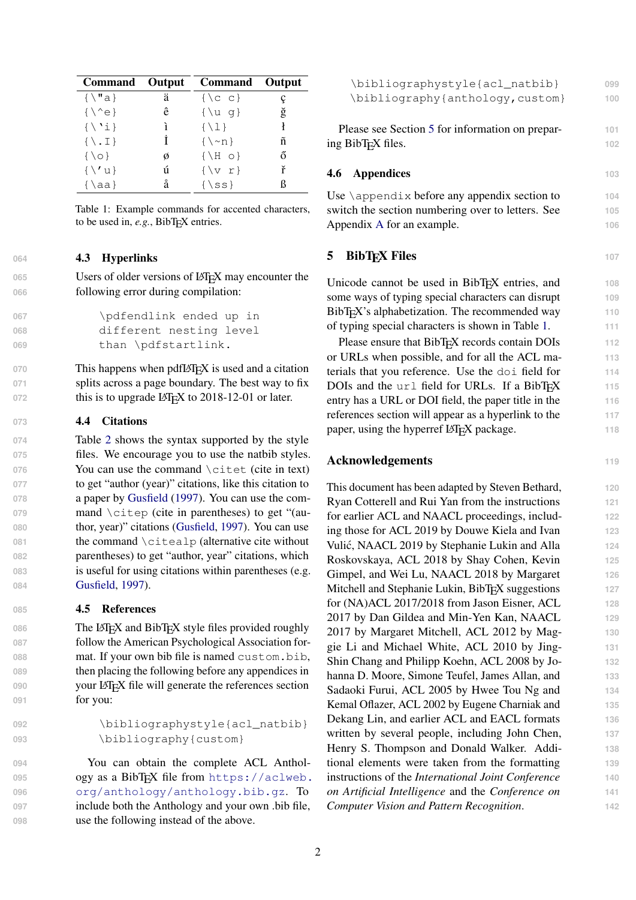<span id="page-1-0"></span>

| Command Output                        |   | Command         | Output |
|---------------------------------------|---|-----------------|--------|
| $\{\setminus "a\}$                    | ä | $\{C, C\}$      |        |
| $\{\setminus\hat{e}\}$                | ê | $\{\ u q\}$     | ğ      |
| $\{\ \'i\}$                           | ì | $\{\ \{1\}\$    |        |
| $\{ \mathcal{L} \cdot \mathcal{I} \}$ |   | $\{\n\sim n\}$  | ñ      |
| $\{\setminus \circ\}$                 | ø | $\{\ H \circ\}$ | ő      |
| $\{\setminus\prime\}$                 | ú | $\{v r\}$       | ř      |
| $\{\lambda a\}$                       | å | $\{$ ss}        |        |

Table 1: Example commands for accented characters, to be used in, *e.g.*, BibT<sub>E</sub>X entries.

## **064** 4.3 Hyperlinks

065 Users of older versions of LAT<sub>EX</sub> may encounter the **066** following error during compilation:

```
067 \pdfendlink ended up in
068 different nesting level
069 than \pdfstartlink.
```
070 This happens when pdfLAT<sub>E</sub>X is used and a citation **071** splits across a page boundary. The best way to fix 072 this is to upgrade LAT<sub>E</sub>X to 2018-12-01 or later.

### **073** 4.4 Citations

 Table [2](#page-2-0) shows the syntax supported by the style files. We encourage you to use the natbib styles. 076 You can use the command \citet (cite in text) to get "author (year)" citations, like this citation to a paper by [Gusfield](#page-2-1) [\(1997\)](#page-2-1). You can use the com-079 mand \citep (cite in parentheses) to get "(au- thor, year)" citations [\(Gusfield,](#page-2-1) [1997\)](#page-2-1). You can use 081 the command \citealp (alternative cite without parentheses) to get "author, year" citations, which is useful for using citations within parentheses (e.g. [Gusfield,](#page-2-1) [1997\)](#page-2-1).

### **085** 4.5 References

086 The L<sup>AT</sup>EX and BibTEX style files provided roughly **087** follow the American Psychological Association for-**<sup>088</sup>** mat. If your own bib file is named custom.bib, **089** then placing the following before any appendices in 090 your LAT<sub>EX</sub> file will generate the references section **091** for you:

```
092 \bibliographystyle{acl_natbib}
093 \bibliography{custom}
```
 You can obtain the complete ACL Anthol[o](https://aclweb.org/anthology/anthology.bib.gz)gy as a BibT<sub>F</sub>X file from [https://aclweb.](https://aclweb.org/anthology/anthology.bib.gz) [org/anthology/anthology.bib.gz](https://aclweb.org/anthology/anthology.bib.gz). To include both the Anthology and your own .bib file, use the following instead of the above.

<span id="page-1-1"></span>

| \bibliographystyle{acl_natbib}                                                                       | 099        |  |  |  |
|------------------------------------------------------------------------------------------------------|------------|--|--|--|
| \bibliography{anthology, custom}                                                                     | 100        |  |  |  |
|                                                                                                      |            |  |  |  |
| Please see Section 5 for information on prepar-                                                      | 101        |  |  |  |
| ing BibT <sub>F</sub> X files.                                                                       | 102        |  |  |  |
| <b>Appendices</b><br>4.6                                                                             | 103        |  |  |  |
|                                                                                                      |            |  |  |  |
| Use $\alpha$ is before any appendix section to                                                       | 104        |  |  |  |
| switch the section numbering over to letters. See                                                    | 105        |  |  |  |
| Appendix A for an example.                                                                           | 106        |  |  |  |
| <b>BibT<sub>E</sub>X</b> Files<br>5                                                                  | 107        |  |  |  |
|                                                                                                      |            |  |  |  |
| Unicode cannot be used in BibT <sub>E</sub> X entries, and                                           | 108        |  |  |  |
| some ways of typing special characters can disrupt                                                   | 109        |  |  |  |
| BibT <sub>F</sub> X's alphabetization. The recommended way                                           | 110        |  |  |  |
| of typing special characters is shown in Table 1.                                                    | 111        |  |  |  |
| Please ensure that BibT <sub>F</sub> X records contain DOIs                                          | 112        |  |  |  |
| or URLs when possible, and for all the ACL ma-<br>terials that you reference. Use the doi field for  | 113        |  |  |  |
|                                                                                                      | 114<br>115 |  |  |  |
| DOIs and the url field for URLs. If a BibTEX<br>entry has a URL or DOI field, the paper title in the |            |  |  |  |
| references section will appear as a hyperlink to the                                                 | 116<br>117 |  |  |  |
| paper, using the hyperref LAT <sub>E</sub> X package.                                                | 118        |  |  |  |
|                                                                                                      |            |  |  |  |
| <b>Acknowledgements</b>                                                                              | 119        |  |  |  |
| This document has been adapted by Steven Bethard,                                                    | 120        |  |  |  |
| Ryan Cotterell and Rui Yan from the instructions                                                     | 121        |  |  |  |
| for earlier ACL and NAACL proceedings, includ-                                                       | 122        |  |  |  |
| ing those for ACL 2019 by Douwe Kiela and Ivan                                                       | 123        |  |  |  |
| Vulić, NAACL 2019 by Stephanie Lukin and Alla                                                        | 124        |  |  |  |
| Roskovskaya, ACL 2018 by Shay Cohen, Kevin                                                           |            |  |  |  |
| Gimpel, and Wei Lu, NAACL 2018 by Margaret                                                           |            |  |  |  |
| Mitchell and Stephanie Lukin, BibTEX suggestions                                                     | 127        |  |  |  |
| for (NA)ACL 2017/2018 from Jason Eisner, ACL<br>128                                                  |            |  |  |  |
| 2017 by Dan Gildea and Min-Yen Kan, NAACL                                                            | 129        |  |  |  |
| 2017 by Margaret Mitchell, ACL 2012 by Mag-<br>130                                                   |            |  |  |  |
| gie Li and Michael White, ACL 2010 by Jing-<br>131                                                   |            |  |  |  |
| Shin Chang and Philipp Koehn, ACL 2008 by Jo-                                                        | 132        |  |  |  |

hanna D. Moore, Simone Teufel, James Allan, and **133** Sadaoki Furui, ACL 2005 by Hwee Tou Ng and **134** Kemal Oflazer, ACL 2002 by Eugene Charniak and **135** Dekang Lin, and earlier ACL and EACL formats **136** written by several people, including John Chen, 137 Henry S. Thompson and Donald Walker. Addi- **138** tional elements were taken from the formatting **139** instructions of the *International Joint Conference* **140** *on Artificial Intelligence* and the *Conference on* **141** *Computer Vision and Pattern Recognition*. **142**

2